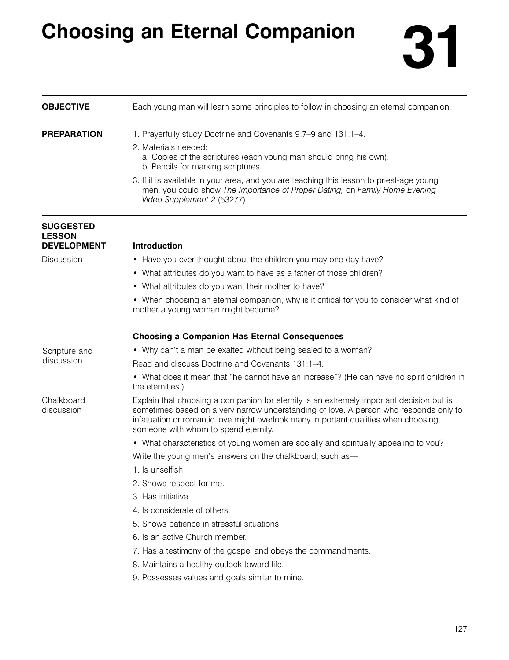## **Choosing an Eternal Companion 31**



| <b>OBJECTIVE</b>                  | Each young man will learn some principles to follow in choosing an eternal companion.                                                                                                                                                                                                                           |
|-----------------------------------|-----------------------------------------------------------------------------------------------------------------------------------------------------------------------------------------------------------------------------------------------------------------------------------------------------------------|
| <b>PREPARATION</b>                | 1. Prayerfully study Doctrine and Covenants 9:7-9 and 131:1-4.                                                                                                                                                                                                                                                  |
|                                   | 2. Materials needed:<br>a. Copies of the scriptures (each young man should bring his own).<br>b. Pencils for marking scriptures.                                                                                                                                                                                |
|                                   | 3. If it is available in your area, and you are teaching this lesson to priest-age young<br>men, you could show The Importance of Proper Dating, on Family Home Evening<br>Video Supplement 2 (53277).                                                                                                          |
| <b>SUGGESTED</b><br><b>LESSON</b> |                                                                                                                                                                                                                                                                                                                 |
| <b>DEVELOPMENT</b>                | <b>Introduction</b>                                                                                                                                                                                                                                                                                             |
| Discussion                        | • Have you ever thought about the children you may one day have?                                                                                                                                                                                                                                                |
|                                   | • What attributes do you want to have as a father of those children?                                                                                                                                                                                                                                            |
|                                   | • What attributes do you want their mother to have?                                                                                                                                                                                                                                                             |
|                                   | • When choosing an eternal companion, why is it critical for you to consider what kind of<br>mother a young woman might become?                                                                                                                                                                                 |
|                                   | <b>Choosing a Companion Has Eternal Consequences</b>                                                                                                                                                                                                                                                            |
| Scripture and                     | • Why can't a man be exalted without being sealed to a woman?                                                                                                                                                                                                                                                   |
| discussion                        | Read and discuss Doctrine and Covenants 131:1-4.                                                                                                                                                                                                                                                                |
|                                   | • What does it mean that "he cannot have an increase"? (He can have no spirit children in<br>the eternities.)                                                                                                                                                                                                   |
| Chalkboard<br>discussion          | Explain that choosing a companion for eternity is an extremely important decision but is<br>sometimes based on a very narrow understanding of love. A person who responds only to<br>infatuation or romantic love might overlook many important qualities when choosing<br>someone with whom to spend eternity. |
|                                   | • What characteristics of young women are socially and spiritually appealing to you?                                                                                                                                                                                                                            |
|                                   | Write the young men's answers on the chalkboard, such as-                                                                                                                                                                                                                                                       |
|                                   | 1. Is unselfish.                                                                                                                                                                                                                                                                                                |
|                                   | 2. Shows respect for me.                                                                                                                                                                                                                                                                                        |
|                                   | 3. Has initiative.                                                                                                                                                                                                                                                                                              |
|                                   | 4. Is considerate of others.                                                                                                                                                                                                                                                                                    |
|                                   | 5. Shows patience in stressful situations.                                                                                                                                                                                                                                                                      |
|                                   | 6. Is an active Church member.                                                                                                                                                                                                                                                                                  |
|                                   | 7. Has a testimony of the gospel and obeys the commandments.                                                                                                                                                                                                                                                    |
|                                   | 8. Maintains a healthy outlook toward life.                                                                                                                                                                                                                                                                     |
|                                   | 9. Possesses values and goals similar to mine.                                                                                                                                                                                                                                                                  |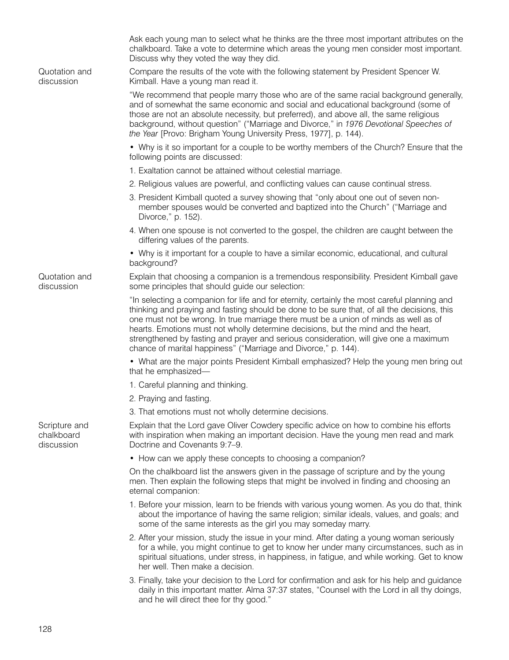|                                           | Ask each young man to select what he thinks are the three most important attributes on the<br>chalkboard. Take a vote to determine which areas the young men consider most important.<br>Discuss why they voted the way they did.                                                                                                                                                                                                                                                                                                   |
|-------------------------------------------|-------------------------------------------------------------------------------------------------------------------------------------------------------------------------------------------------------------------------------------------------------------------------------------------------------------------------------------------------------------------------------------------------------------------------------------------------------------------------------------------------------------------------------------|
| Quotation and<br>discussion               | Compare the results of the vote with the following statement by President Spencer W.<br>Kimball. Have a young man read it.                                                                                                                                                                                                                                                                                                                                                                                                          |
|                                           | "We recommend that people marry those who are of the same racial background generally,<br>and of somewhat the same economic and social and educational background (some of<br>those are not an absolute necessity, but preferred), and above all, the same religious<br>background, without question" ("Marriage and Divorce," in 1976 Devotional Speeches of<br>the Year [Provo: Brigham Young University Press, 1977], p. 144).                                                                                                   |
|                                           | • Why is it so important for a couple to be worthy members of the Church? Ensure that the<br>following points are discussed:                                                                                                                                                                                                                                                                                                                                                                                                        |
|                                           | 1. Exaltation cannot be attained without celestial marriage.                                                                                                                                                                                                                                                                                                                                                                                                                                                                        |
|                                           | 2. Religious values are powerful, and conflicting values can cause continual stress.                                                                                                                                                                                                                                                                                                                                                                                                                                                |
|                                           | 3. President Kimball quoted a survey showing that "only about one out of seven non-<br>member spouses would be converted and baptized into the Church" ("Marriage and<br>Divorce," p. 152).                                                                                                                                                                                                                                                                                                                                         |
|                                           | 4. When one spouse is not converted to the gospel, the children are caught between the<br>differing values of the parents.                                                                                                                                                                                                                                                                                                                                                                                                          |
|                                           | • Why is it important for a couple to have a similar economic, educational, and cultural<br>background?                                                                                                                                                                                                                                                                                                                                                                                                                             |
| Quotation and<br>discussion               | Explain that choosing a companion is a tremendous responsibility. President Kimball gave<br>some principles that should guide our selection:                                                                                                                                                                                                                                                                                                                                                                                        |
|                                           | "In selecting a companion for life and for eternity, certainly the most careful planning and<br>thinking and praying and fasting should be done to be sure that, of all the decisions, this<br>one must not be wrong. In true marriage there must be a union of minds as well as of<br>hearts. Emotions must not wholly determine decisions, but the mind and the heart,<br>strengthened by fasting and prayer and serious consideration, will give one a maximum<br>chance of marital happiness" ("Marriage and Divorce," p. 144). |
|                                           | • What are the major points President Kimball emphasized? Help the young men bring out<br>that he emphasized-                                                                                                                                                                                                                                                                                                                                                                                                                       |
|                                           | 1. Careful planning and thinking.                                                                                                                                                                                                                                                                                                                                                                                                                                                                                                   |
|                                           | 2. Praying and fasting.                                                                                                                                                                                                                                                                                                                                                                                                                                                                                                             |
|                                           | 3. That emotions must not wholly determine decisions.                                                                                                                                                                                                                                                                                                                                                                                                                                                                               |
| Scripture and<br>chalkboard<br>discussion | Explain that the Lord gave Oliver Cowdery specific advice on how to combine his efforts<br>with inspiration when making an important decision. Have the young men read and mark<br>Doctrine and Covenants 9:7-9.                                                                                                                                                                                                                                                                                                                    |
|                                           | • How can we apply these concepts to choosing a companion?                                                                                                                                                                                                                                                                                                                                                                                                                                                                          |
|                                           | On the chalkboard list the answers given in the passage of scripture and by the young<br>men. Then explain the following steps that might be involved in finding and choosing an<br>eternal companion:                                                                                                                                                                                                                                                                                                                              |
|                                           | 1. Before your mission, learn to be friends with various young women. As you do that, think<br>about the importance of having the same religion; similar ideals, values, and goals; and<br>some of the same interests as the girl you may someday marry.                                                                                                                                                                                                                                                                            |
|                                           | 2. After your mission, study the issue in your mind. After dating a young woman seriously<br>for a while, you might continue to get to know her under many circumstances, such as in<br>spiritual situations, under stress, in happiness, in fatigue, and while working. Get to know<br>her well. Then make a decision.                                                                                                                                                                                                             |
|                                           | 3. Finally, take your decision to the Lord for confirmation and ask for his help and guidance<br>daily in this important matter. Alma 37:37 states, "Counsel with the Lord in all thy doings,<br>and he will direct thee for thy good."                                                                                                                                                                                                                                                                                             |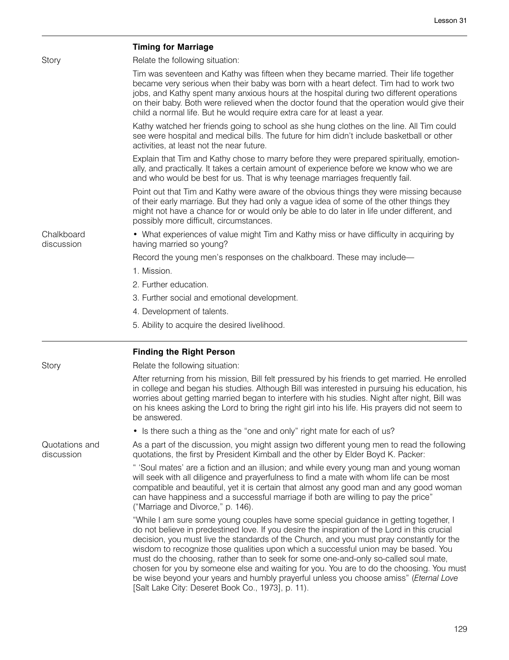|                              | <b>Timing for Marriage</b>                                                                                                                                                                                                                                                                                                                                                                                                                                                                                                                                                                                                                              |
|------------------------------|---------------------------------------------------------------------------------------------------------------------------------------------------------------------------------------------------------------------------------------------------------------------------------------------------------------------------------------------------------------------------------------------------------------------------------------------------------------------------------------------------------------------------------------------------------------------------------------------------------------------------------------------------------|
| Story                        | Relate the following situation:                                                                                                                                                                                                                                                                                                                                                                                                                                                                                                                                                                                                                         |
|                              | Tim was seventeen and Kathy was fifteen when they became married. Their life together<br>became very serious when their baby was born with a heart defect. Tim had to work two<br>jobs, and Kathy spent many anxious hours at the hospital during two different operations<br>on their baby. Both were relieved when the doctor found that the operation would give their<br>child a normal life. But he would require extra care for at least a year.                                                                                                                                                                                                  |
|                              | Kathy watched her friends going to school as she hung clothes on the line. All Tim could<br>see were hospital and medical bills. The future for him didn't include basketball or other<br>activities, at least not the near future.                                                                                                                                                                                                                                                                                                                                                                                                                     |
|                              | Explain that Tim and Kathy chose to marry before they were prepared spiritually, emotion-<br>ally, and practically. It takes a certain amount of experience before we know who we are<br>and who would be best for us. That is why teenage marriages frequently fail.                                                                                                                                                                                                                                                                                                                                                                                   |
|                              | Point out that Tim and Kathy were aware of the obvious things they were missing because<br>of their early marriage. But they had only a vague idea of some of the other things they<br>might not have a chance for or would only be able to do later in life under different, and<br>possibly more difficult, circumstances.                                                                                                                                                                                                                                                                                                                            |
| Chalkboard<br>discussion     | • What experiences of value might Tim and Kathy miss or have difficulty in acquiring by<br>having married so young?                                                                                                                                                                                                                                                                                                                                                                                                                                                                                                                                     |
|                              | Record the young men's responses on the chalkboard. These may include-                                                                                                                                                                                                                                                                                                                                                                                                                                                                                                                                                                                  |
|                              | 1. Mission.                                                                                                                                                                                                                                                                                                                                                                                                                                                                                                                                                                                                                                             |
|                              | 2. Further education.                                                                                                                                                                                                                                                                                                                                                                                                                                                                                                                                                                                                                                   |
|                              | 3. Further social and emotional development.                                                                                                                                                                                                                                                                                                                                                                                                                                                                                                                                                                                                            |
|                              | 4. Development of talents.                                                                                                                                                                                                                                                                                                                                                                                                                                                                                                                                                                                                                              |
|                              | 5. Ability to acquire the desired livelihood.                                                                                                                                                                                                                                                                                                                                                                                                                                                                                                                                                                                                           |
|                              | <b>Finding the Right Person</b>                                                                                                                                                                                                                                                                                                                                                                                                                                                                                                                                                                                                                         |
| Story                        | Relate the following situation:                                                                                                                                                                                                                                                                                                                                                                                                                                                                                                                                                                                                                         |
|                              | After returning from his mission, Bill felt pressured by his friends to get married. He enrolled<br>in college and began his studies. Although Bill was interested in pursuing his education, his<br>worries about getting married began to interfere with his studies. Night after night, Bill was<br>on his knees asking the Lord to bring the right girl into his life. His prayers did not seem to<br>be answered.                                                                                                                                                                                                                                  |
|                              | • Is there such a thing as the "one and only" right mate for each of us?                                                                                                                                                                                                                                                                                                                                                                                                                                                                                                                                                                                |
| Quotations and<br>discussion | As a part of the discussion, you might assign two different young men to read the following<br>quotations, the first by President Kimball and the other by Elder Boyd K. Packer:                                                                                                                                                                                                                                                                                                                                                                                                                                                                        |
|                              | " 'Soul mates' are a fiction and an illusion; and while every young man and young woman<br>will seek with all diligence and prayerfulness to find a mate with whom life can be most<br>compatible and beautiful, yet it is certain that almost any good man and any good woman<br>can have happiness and a successful marriage if both are willing to pay the price"<br>("Marriage and Divorce," p. 146).                                                                                                                                                                                                                                               |
|                              | "While I am sure some young couples have some special guidance in getting together, I<br>do not believe in predestined love. If you desire the inspiration of the Lord in this crucial<br>decision, you must live the standards of the Church, and you must pray constantly for the<br>wisdom to recognize those qualities upon which a successful union may be based. You<br>must do the choosing, rather than to seek for some one-and-only so-called soul mate,<br>chosen for you by someone else and waiting for you. You are to do the choosing. You must<br>be wise beyond your years and humbly prayerful unless you choose amiss" (Eternal Love |

[Salt Lake City: Deseret Book Co., 1973], p. 11).